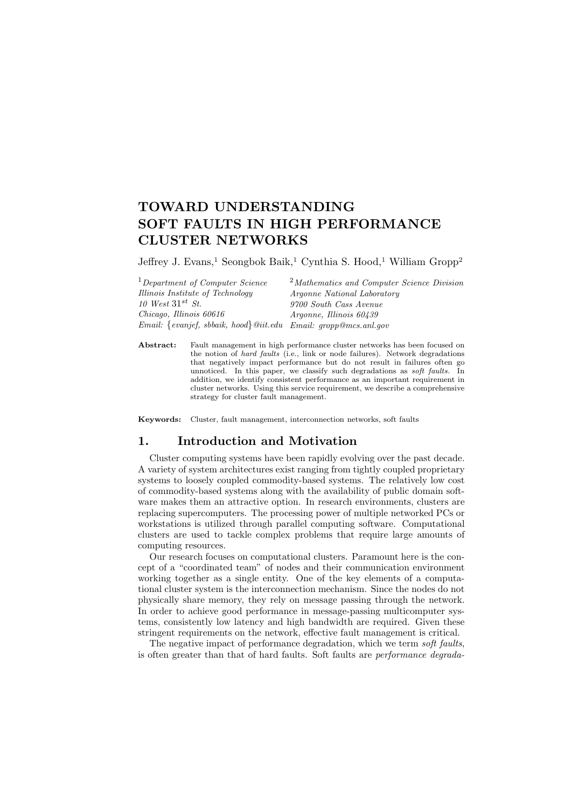# TOWARD UNDERSTANDING SOFT FAULTS IN HIGH PERFORMANCE CLUSTER NETWORKS

Jeffrey J. Evans,<sup>1</sup> Seongbok Baik,<sup>1</sup> Cynthia S. Hood,<sup>1</sup> William Gropp<sup>2</sup>

| <sup>1</sup> Department of Computer Science                      | <sup>2</sup> Mathematics and Computer Science Division |
|------------------------------------------------------------------|--------------------------------------------------------|
| Illinois Institute of Technology                                 | <i>Argonne National Laboratory</i>                     |
| $10$ West $31^{st}$ St.                                          | 9700 South Cass Avenue                                 |
| Chicago, Illinois 60616                                          | Argonne, Illinois 60439                                |
| Email: {evanjef, sbbaik, hood} @iit.edu Email: gropp@mcs.anl.gov |                                                        |

Abstract: Fault management in high performance cluster networks has been focused on the notion of hard faults (i.e., link or node failures). Network degradations that negatively impact performance but do not result in failures often go unnoticed. In this paper, we classify such degradations as *soft faults*. In addition, we identify consistent performance as an important requirement in cluster networks. Using this service requirement, we describe a comprehensive strategy for cluster fault management.

Keywords: Cluster, fault management, interconnection networks, soft faults

## 1. Introduction and Motivation

Cluster computing systems have been rapidly evolving over the past decade. A variety of system architectures exist ranging from tightly coupled proprietary systems to loosely coupled commodity-based systems. The relatively low cost of commodity-based systems along with the availability of public domain software makes them an attractive option. In research environments, clusters are replacing supercomputers. The processing power of multiple networked PCs or workstations is utilized through parallel computing software. Computational clusters are used to tackle complex problems that require large amounts of computing resources.

Our research focuses on computational clusters. Paramount here is the concept of a "coordinated team" of nodes and their communication environment working together as a single entity. One of the key elements of a computational cluster system is the interconnection mechanism. Since the nodes do not physically share memory, they rely on message passing through the network. In order to achieve good performance in message-passing multicomputer systems, consistently low latency and high bandwidth are required. Given these stringent requirements on the network, effective fault management is critical.

The negative impact of performance degradation, which we term *soft faults*, is often greater than that of hard faults. Soft faults are performance degrada-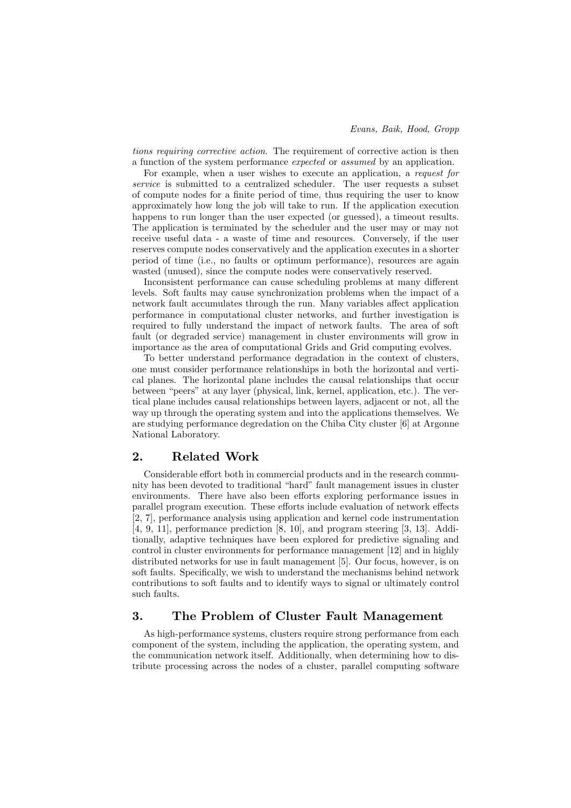tions requiring corrective action. The requirement of corrective action is then a function of the system performance expected or assumed by an application.

For example, when a user wishes to execute an application, a request for service is submitted to a centralized scheduler. The user requests a subset of compute nodes for a finite period of time, thus requiring the user to know approximately how long the job will take to run. If the application execution happens to run longer than the user expected (or guessed), a timeout results. The application is terminated by the scheduler and the user may or may not receive useful data - a waste of time and resources. Conversely, if the user reserves compute nodes conservatively and the application executes in a shorter period of time (i.e., no faults or optimum performance), resources are again wasted (unused), since the compute nodes were conservatively reserved.

Inconsistent performance can cause scheduling problems at many different levels. Soft faults may cause synchronization problems when the impact of a network fault accumulates through the run. Many variables affect application performance in computational cluster networks, and further investigation is required to fully understand the impact of network faults. The area of soft fault (or degraded service) management in cluster environments will grow in importance as the area of computational Grids and Grid computing evolves.

To better understand performance degradation in the context of clusters, one must consider performance relationships in both the horizontal and vertical planes. The horizontal plane includes the causal relationships that occur between "peers" at any layer (physical, link, kernel, application, etc.). The vertical plane includes causal relationships between layers, adjacent or not, all the way up through the operating system and into the applications themselves. We are studying performance degredation on the Chiba City cluster [6] at Argonne National Laboratory.

### 2. Related Work

Considerable effort both in commercial products and in the research community has been devoted to traditional "hard" fault management issues in cluster environments. There have also been efforts exploring performance issues in parallel program execution. These efforts include evaluation of network effects [2, 7], performance analysis using application and kernel code instrumentation [4, 9, 11], performance prediction [8, 10], and program steering [3, 13]. Additionally, adaptive techniques have been explored for predictive signaling and control in cluster environments for performance management [12] and in highly distributed networks for use in fault management [5]. Our focus, however, is on soft faults. Specifically, we wish to understand the mechanisms behind network contributions to soft faults and to identify ways to signal or ultimately control such faults.

### 3. The Problem of Cluster Fault Management

As high-performance systems, clusters require strong performance from each component of the system, including the application, the operating system, and the communication network itself. Additionally, when determining how to distribute processing across the nodes of a cluster, parallel computing software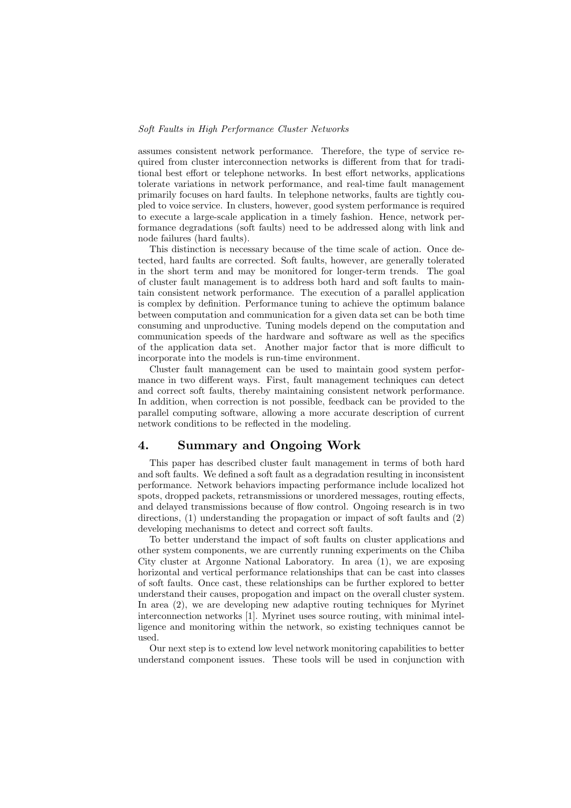#### Soft Faults in High Performance Cluster Networks

assumes consistent network performance. Therefore, the type of service required from cluster interconnection networks is different from that for traditional best effort or telephone networks. In best effort networks, applications tolerate variations in network performance, and real-time fault management primarily focuses on hard faults. In telephone networks, faults are tightly coupled to voice service. In clusters, however, good system performance is required to execute a large-scale application in a timely fashion. Hence, network performance degradations (soft faults) need to be addressed along with link and node failures (hard faults).

This distinction is necessary because of the time scale of action. Once detected, hard faults are corrected. Soft faults, however, are generally tolerated in the short term and may be monitored for longer-term trends. The goal of cluster fault management is to address both hard and soft faults to maintain consistent network performance. The execution of a parallel application is complex by definition. Performance tuning to achieve the optimum balance between computation and communication for a given data set can be both time consuming and unproductive. Tuning models depend on the computation and communication speeds of the hardware and software as well as the specifics of the application data set. Another major factor that is more difficult to incorporate into the models is run-time environment.

Cluster fault management can be used to maintain good system performance in two different ways. First, fault management techniques can detect and correct soft faults, thereby maintaining consistent network performance. In addition, when correction is not possible, feedback can be provided to the parallel computing software, allowing a more accurate description of current network conditions to be reflected in the modeling.

### 4. Summary and Ongoing Work

This paper has described cluster fault management in terms of both hard and soft faults. We defined a soft fault as a degradation resulting in inconsistent performance. Network behaviors impacting performance include localized hot spots, dropped packets, retransmissions or unordered messages, routing effects, and delayed transmissions because of flow control. Ongoing research is in two directions, (1) understanding the propagation or impact of soft faults and (2) developing mechanisms to detect and correct soft faults.

To better understand the impact of soft faults on cluster applications and other system components, we are currently running experiments on the Chiba City cluster at Argonne National Laboratory. In area (1), we are exposing horizontal and vertical performance relationships that can be cast into classes of soft faults. Once cast, these relationships can be further explored to better understand their causes, propogation and impact on the overall cluster system. In area (2), we are developing new adaptive routing techniques for Myrinet interconnection networks [1]. Myrinet uses source routing, with minimal intelligence and monitoring within the network, so existing techniques cannot be used.

Our next step is to extend low level network monitoring capabilities to better understand component issues. These tools will be used in conjunction with